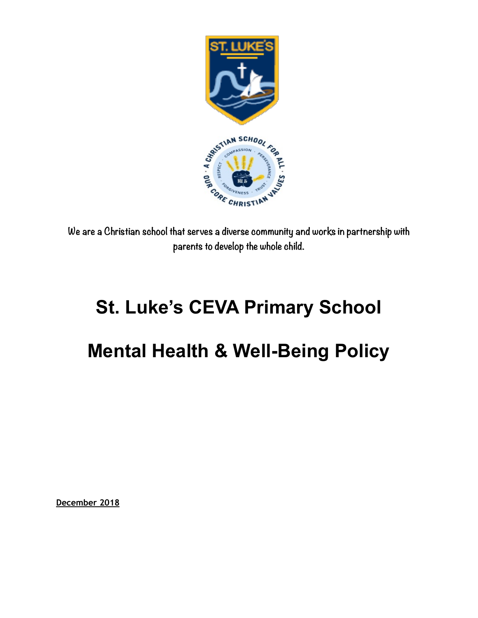

**We are a Christian school that serves a diverse community and works in partnership with parents to develop the whole child.** 

# **St. Luke's CEVA Primary School**

## **Mental Health & Well-Being Policy**

**December 2018**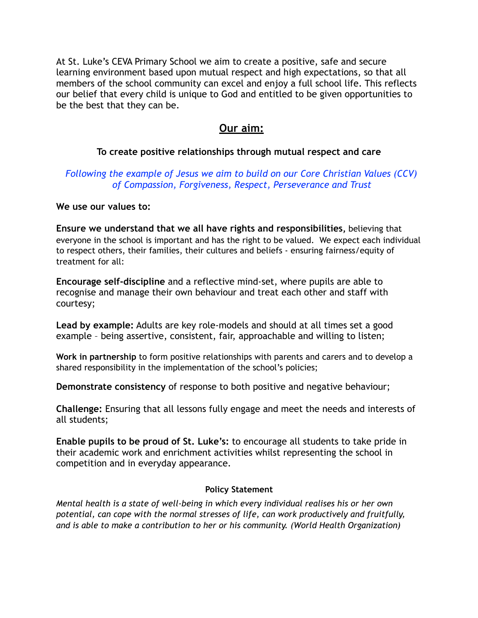At St. Luke's CEVA Primary School we aim to create a positive, safe and secure learning environment based upon mutual respect and high expectations, so that all members of the school community can excel and enjoy a full school life. This reflects our belief that every child is unique to God and entitled to be given opportunities to be the best that they can be.

### **Our aim:**

#### **To create positive relationships through mutual respect and care**

#### *Following the example of Jesus we aim to build on our Core Christian Values (CCV) of Compassion, Forgiveness, Respect, Perseverance and Trust*

#### **We use our values to:**

**Ensure we understand that we all have rights and responsibilities,** believing that everyone in the school is important and has the right to be valued. We expect each individual to respect others, their families, their cultures and beliefs - ensuring fairness/equity of treatment for all:

**Encourage self-discipline** and a reflective mind-set, where pupils are able to recognise and manage their own behaviour and treat each other and staff with courtesy;

**Lead by example:** Adults are key role-models and should at all times set a good example – being assertive, consistent, fair, approachable and willing to listen;

**Work in partnership** to form positive relationships with parents and carers and to develop a shared responsibility in the implementation of the school's policies;

**Demonstrate consistency** of response to both positive and negative behaviour;

**Challenge:** Ensuring that all lessons fully engage and meet the needs and interests of all students;

**Enable pupils to be proud of St. Luke's:** to encourage all students to take pride in their academic work and enrichment activities whilst representing the school in competition and in everyday appearance.

#### **Policy Statement**

*Mental health is a state of well-being in which every individual realises his or her own potential, can cope with the normal stresses of life, can work productively and fruitfully, and is able to make a contribution to her or his community. (World Health Organization)*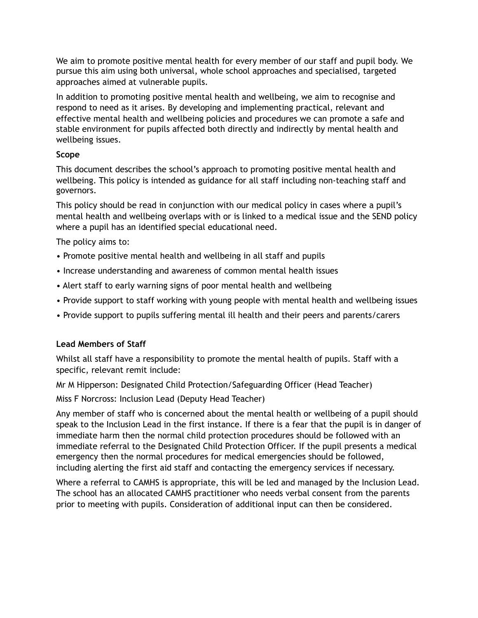We aim to promote positive mental health for every member of our staff and pupil body. We pursue this aim using both universal, whole school approaches and specialised, targeted approaches aimed at vulnerable pupils.

In addition to promoting positive mental health and wellbeing, we aim to recognise and respond to need as it arises. By developing and implementing practical, relevant and effective mental health and wellbeing policies and procedures we can promote a safe and stable environment for pupils affected both directly and indirectly by mental health and wellbeing issues.

#### **Scope**

This document describes the school's approach to promoting positive mental health and wellbeing. This policy is intended as guidance for all staff including non-teaching staff and governors.

This policy should be read in conjunction with our medical policy in cases where a pupil's mental health and wellbeing overlaps with or is linked to a medical issue and the SEND policy where a pupil has an identified special educational need.

The policy aims to:

- Promote positive mental health and wellbeing in all staff and pupils
- Increase understanding and awareness of common mental health issues
- Alert staff to early warning signs of poor mental health and wellbeing
- Provide support to staff working with young people with mental health and wellbeing issues
- Provide support to pupils suffering mental ill health and their peers and parents/carers

#### **Lead Members of Staff**

Whilst all staff have a responsibility to promote the mental health of pupils. Staff with a specific, relevant remit include:

Mr M Hipperson: Designated Child Protection/Safeguarding Officer (Head Teacher)

Miss F Norcross: Inclusion Lead (Deputy Head Teacher)

Any member of staff who is concerned about the mental health or wellbeing of a pupil should speak to the Inclusion Lead in the first instance. If there is a fear that the pupil is in danger of immediate harm then the normal child protection procedures should be followed with an immediate referral to the Designated Child Protection Officer. If the pupil presents a medical emergency then the normal procedures for medical emergencies should be followed, including alerting the first aid staff and contacting the emergency services if necessary.

Where a referral to CAMHS is appropriate, this will be led and managed by the Inclusion Lead. The school has an allocated CAMHS practitioner who needs verbal consent from the parents prior to meeting with pupils. Consideration of additional input can then be considered.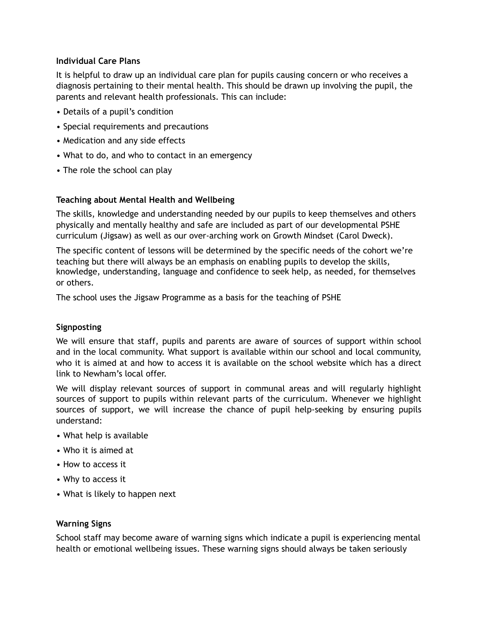#### **Individual Care Plans**

It is helpful to draw up an individual care plan for pupils causing concern or who receives a diagnosis pertaining to their mental health. This should be drawn up involving the pupil, the parents and relevant health professionals. This can include:

- Details of a pupil's condition
- Special requirements and precautions
- Medication and any side effects
- What to do, and who to contact in an emergency
- The role the school can play

#### **Teaching about Mental Health and Wellbeing**

The skills, knowledge and understanding needed by our pupils to keep themselves and others physically and mentally healthy and safe are included as part of our developmental PSHE curriculum (Jigsaw) as well as our over-arching work on Growth Mindset (Carol Dweck).

The specific content of lessons will be determined by the specific needs of the cohort we're teaching but there will always be an emphasis on enabling pupils to develop the skills, knowledge, understanding, language and confidence to seek help, as needed, for themselves or others.

The school uses the Jigsaw Programme as a basis for the teaching of PSHE

#### **Signposting**

We will ensure that staff, pupils and parents are aware of sources of support within school and in the local community. What support is available within our school and local community, who it is aimed at and how to access it is available on the school website which has a direct link to Newham's local offer.

We will display relevant sources of support in communal areas and will regularly highlight sources of support to pupils within relevant parts of the curriculum. Whenever we highlight sources of support, we will increase the chance of pupil help-seeking by ensuring pupils understand:

- What help is available
- Who it is aimed at
- How to access it
- Why to access it
- What is likely to happen next

#### **Warning Signs**

School staff may become aware of warning signs which indicate a pupil is experiencing mental health or emotional wellbeing issues. These warning signs should always be taken seriously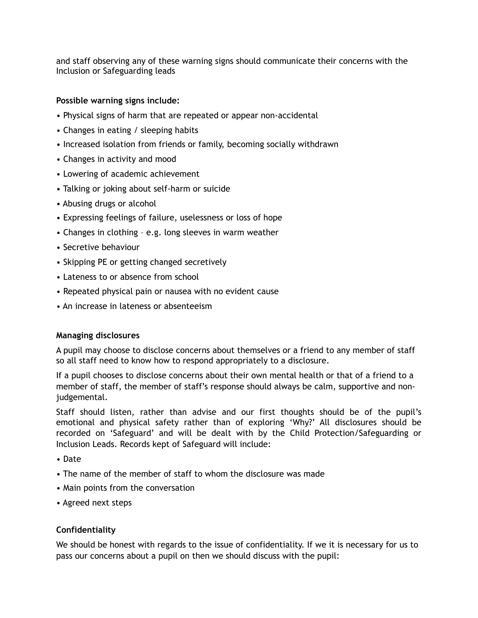and staff observing any of these warning signs should communicate their concerns with the Inclusion or Safeguarding leads

#### **Possible warning signs include:**

- Physical signs of harm that are repeated or appear non-accidental
- Changes in eating / sleeping habits
- Increased isolation from friends or family, becoming socially withdrawn
- Changes in activity and mood
- Lowering of academic achievement
- Talking or joking about self-harm or suicide
- Abusing drugs or alcohol
- Expressing feelings of failure, uselessness or loss of hope
- Changes in clothing e.g. long sleeves in warm weather
- Secretive behaviour
- Skipping PE or getting changed secretively
- Lateness to or absence from school
- Repeated physical pain or nausea with no evident cause
- An increase in lateness or absenteeism

#### **Managing disclosures**

A pupil may choose to disclose concerns about themselves or a friend to any member of staff so all staff need to know how to respond appropriately to a disclosure.

If a pupil chooses to disclose concerns about their own mental health or that of a friend to a member of staff, the member of staff's response should always be calm, supportive and nonjudgemental.

Staff should listen, rather than advise and our first thoughts should be of the pupil's emotional and physical safety rather than of exploring 'Why?' All disclosures should be recorded on 'Safeguard' and will be dealt with by the Child Protection/Safeguarding or Inclusion Leads. Records kept of Safeguard will include:

- Date
- The name of the member of staff to whom the disclosure was made
- Main points from the conversation
- Agreed next steps

#### **Confidentiality**

We should be honest with regards to the issue of confidentiality. If we it is necessary for us to pass our concerns about a pupil on then we should discuss with the pupil: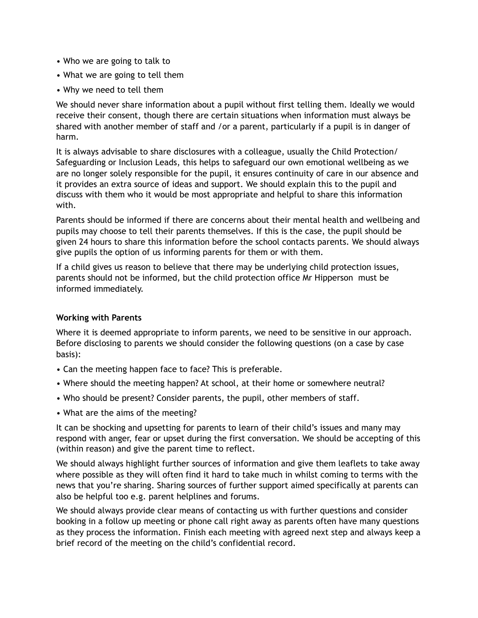- Who we are going to talk to
- What we are going to tell them
- Why we need to tell them

We should never share information about a pupil without first telling them. Ideally we would receive their consent, though there are certain situations when information must always be shared with another member of staff and /or a parent, particularly if a pupil is in danger of harm.

It is always advisable to share disclosures with a colleague, usually the Child Protection/ Safeguarding or Inclusion Leads, this helps to safeguard our own emotional wellbeing as we are no longer solely responsible for the pupil, it ensures continuity of care in our absence and it provides an extra source of ideas and support. We should explain this to the pupil and discuss with them who it would be most appropriate and helpful to share this information with.

Parents should be informed if there are concerns about their mental health and wellbeing and pupils may choose to tell their parents themselves. If this is the case, the pupil should be given 24 hours to share this information before the school contacts parents. We should always give pupils the option of us informing parents for them or with them.

If a child gives us reason to believe that there may be underlying child protection issues, parents should not be informed, but the child protection office Mr Hipperson must be informed immediately.

#### **Working with Parents**

Where it is deemed appropriate to inform parents, we need to be sensitive in our approach. Before disclosing to parents we should consider the following questions (on a case by case basis):

- Can the meeting happen face to face? This is preferable.
- Where should the meeting happen? At school, at their home or somewhere neutral?
- Who should be present? Consider parents, the pupil, other members of staff.
- What are the aims of the meeting?

It can be shocking and upsetting for parents to learn of their child's issues and many may respond with anger, fear or upset during the first conversation. We should be accepting of this (within reason) and give the parent time to reflect.

We should always highlight further sources of information and give them leaflets to take away where possible as they will often find it hard to take much in whilst coming to terms with the news that you're sharing. Sharing sources of further support aimed specifically at parents can also be helpful too e.g. parent helplines and forums.

We should always provide clear means of contacting us with further questions and consider booking in a follow up meeting or phone call right away as parents often have many questions as they process the information. Finish each meeting with agreed next step and always keep a brief record of the meeting on the child's confidential record.